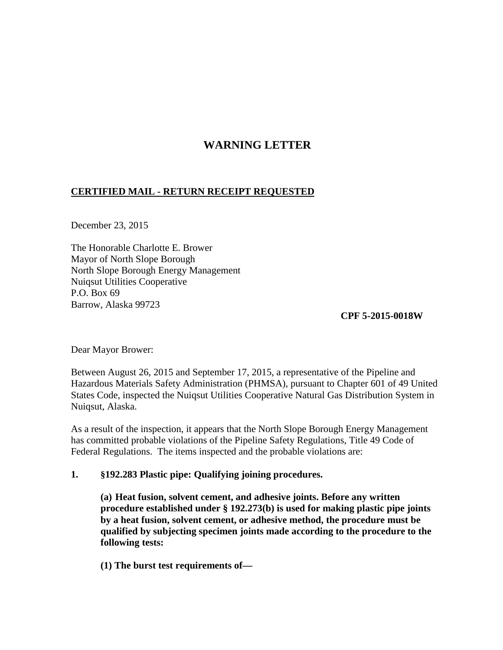# **WARNING LETTER**

# **CERTIFIED MAIL - RETURN RECEIPT REQUESTED**

December 23, 2015

The Honorable Charlotte E. Brower Mayor of North Slope Borough North Slope Borough Energy Management Nuiqsut Utilities Cooperative P.O. Box 69 Barrow, Alaska 99723

**CPF 5-2015-0018W** 

Dear Mayor Brower:

Between August 26, 2015 and September 17, 2015, a representative of the Pipeline and Hazardous Materials Safety Administration (PHMSA), pursuant to Chapter 601 of 49 United States Code, inspected the Nuiqsut Utilities Cooperative Natural Gas Distribution System in Nuiqsut, Alaska.

As a result of the inspection, it appears that the North Slope Borough Energy Management has committed probable violations of the Pipeline Safety Regulations, Title 49 Code of Federal Regulations. The items inspected and the probable violations are:

# **1. §192.283 Plastic pipe: Qualifying joining procedures.**

**(a) Heat fusion, solvent cement, and adhesive joints. Before any written procedure established under § 192.273(b) is used for making plastic pipe joints by a heat fusion, solvent cement, or adhesive method, the procedure must be qualified by subjecting specimen joints made according to the procedure to the following tests:**

**(1) The burst test requirements of—**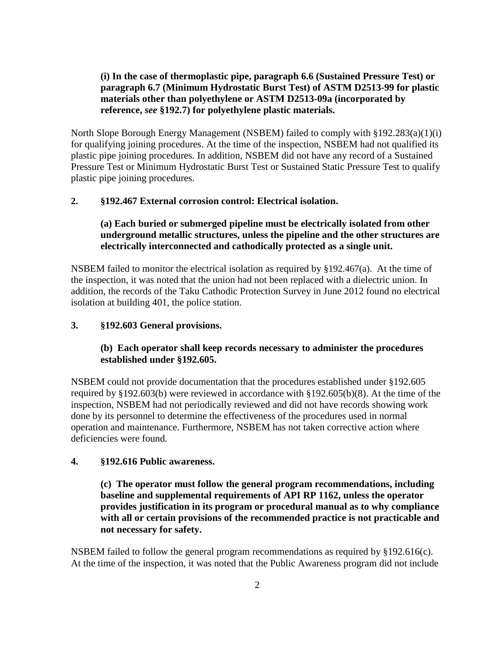# **(i) In the case of thermoplastic pipe, paragraph 6.6 (Sustained Pressure Test) or paragraph 6.7 (Minimum Hydrostatic Burst Test) of ASTM D2513-99 for plastic materials other than polyethylene or ASTM D2513-09a (incorporated by reference,** *see* **§192.7) for polyethylene plastic materials.**

North Slope Borough Energy Management (NSBEM) failed to comply with §192.283(a)(1)(i) for qualifying joining procedures. At the time of the inspection, NSBEM had not qualified its plastic pipe joining procedures. In addition, NSBEM did not have any record of a Sustained Pressure Test or Minimum Hydrostatic Burst Test or Sustained Static Pressure Test to qualify plastic pipe joining procedures.

# **2. §192.467 External corrosion control: Electrical isolation.**

# **(a) Each buried or submerged pipeline must be electrically isolated from other underground metallic structures, unless the pipeline and the other structures are electrically interconnected and cathodically protected as a single unit.**

NSBEM failed to monitor the electrical isolation as required by  $\S 192.467(a)$ . At the time of the inspection, it was noted that the union had not been replaced with a dielectric union. In addition, the records of the Taku Cathodic Protection Survey in June 2012 found no electrical isolation at building 401, the police station.

#### **3. §192.603 General provisions.**

# **(b) Each operator shall keep records necessary to administer the procedures established under §192.605.**

NSBEM could not provide documentation that the procedures established under §192.605 required by §192.603(b) were reviewed in accordance with §192.605(b)(8). At the time of the inspection, NSBEM had not periodically reviewed and did not have records showing work done by its personnel to determine the effectiveness of the procedures used in normal operation and maintenance. Furthermore, NSBEM has not taken corrective action where deficiencies were found.

#### **4. §192.616 Public awareness.**

**(c) The operator must follow the general program recommendations, including baseline and supplemental requirements of API RP 1162, unless the operator provides justification in its program or procedural manual as to why compliance with all or certain provisions of the recommended practice is not practicable and not necessary for safety.**

NSBEM failed to follow the general program recommendations as required by  $§192.616(c)$ . At the time of the inspection, it was noted that the Public Awareness program did not include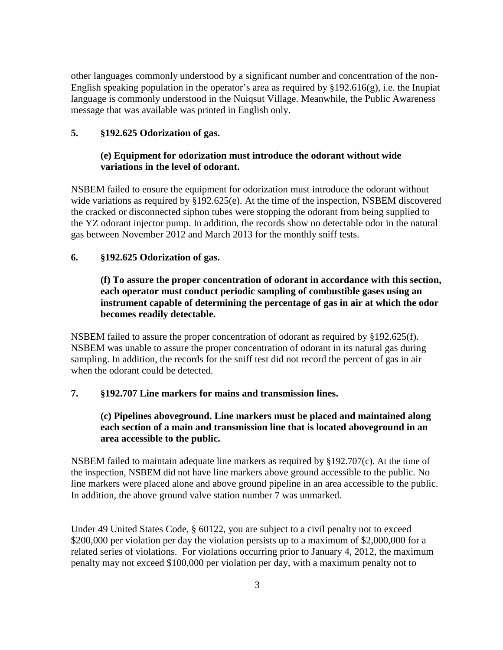other languages commonly understood by a significant number and concentration of the non-English speaking population in the operator's area as required by  $§192.616(g)$ , i.e. the Inupiat language is commonly understood in the Nuiqsut Village. Meanwhile, the Public Awareness message that was available was printed in English only.

### **5. §192.625 Odorization of gas.**

### **(e) Equipment for odorization must introduce the odorant without wide variations in the level of odorant.**

NSBEM failed to ensure the equipment for odorization must introduce the odorant without wide variations as required by §192.625(e). At the time of the inspection, NSBEM discovered the cracked or disconnected siphon tubes were stopping the odorant from being supplied to the YZ odorant injector pump. In addition, the records show no detectable odor in the natural gas between November 2012 and March 2013 for the monthly sniff tests.

### **6. §192.625 Odorization of gas.**

# **(f) To assure the proper concentration of odorant in accordance with this section, each operator must conduct periodic sampling of combustible gases using an instrument capable of determining the percentage of gas in air at which the odor becomes readily detectable.**

NSBEM failed to assure the proper concentration of odorant as required by §192.625(f). NSBEM was unable to assure the proper concentration of odorant in its natural gas during sampling. In addition, the records for the sniff test did not record the percent of gas in air when the odorant could be detected.

### **7. §192.707 Line markers for mains and transmission lines.**

# **(c) Pipelines aboveground. Line markers must be placed and maintained along each section of a main and transmission line that is located aboveground in an area accessible to the public.**

NSBEM failed to maintain adequate line markers as required by §192.707(c). At the time of the inspection, NSBEM did not have line markers above ground accessible to the public. No line markers were placed alone and above ground pipeline in an area accessible to the public. In addition, the above ground valve station number 7 was unmarked.

Under 49 United States Code, § 60122, you are subject to a civil penalty not to exceed \$200,000 per violation per day the violation persists up to a maximum of \$2,000,000 for a related series of violations. For violations occurring prior to January 4, 2012, the maximum penalty may not exceed \$100,000 per violation per day, with a maximum penalty not to